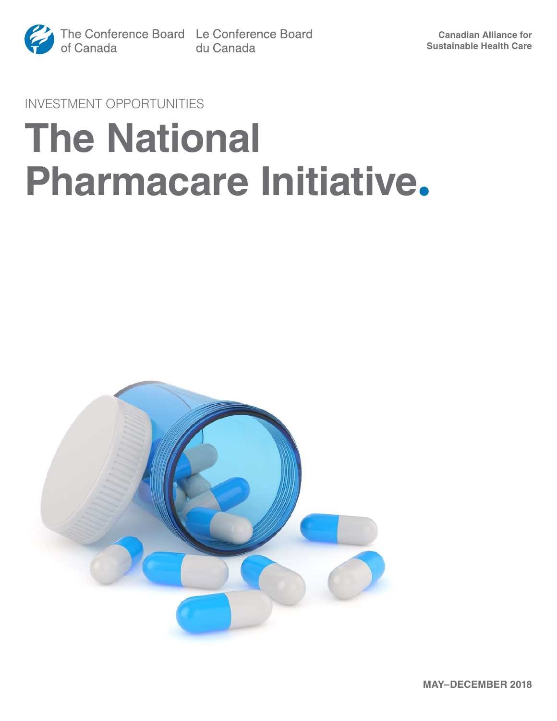

INVESTMENT OPPORTUNITIES

# **The National Pharmacare Initiative.**

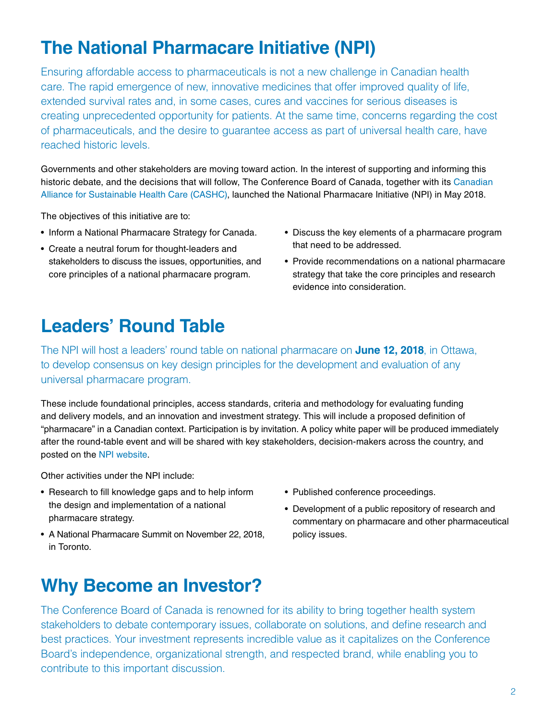## **The National Pharmacare Initiative (NPI)**

Ensuring affordable access to pharmaceuticals is not a new challenge in Canadian health care. The rapid emergence of new, innovative medicines that offer improved quality of life, extended survival rates and, in some cases, cures and vaccines for serious diseases is creating unprecedented opportunity for patients. At the same time, concerns regarding the cost of pharmaceuticals, and the desire to guarantee access as part of universal health care, have reached historic levels.

Governments and other stakeholders are moving toward action. In the interest of supporting and informing this historic debate, and the decisions that will follow, The Conference Board of Canada, together with its [Canadian](http://www.conferenceboard.ca/CASHC/)  [Alliance for Sustainable Health Care \(CASHC\),](http://www.conferenceboard.ca/CASHC/) launched the National Pharmacare Initiative (NPI) in May 2018.

The objectives of this initiative are to:

- Inform a National Pharmacare Strategy for Canada.
- Create a neutral forum for thought-leaders and stakeholders to discuss the issues, opportunities, and core principles of a national pharmacare program.
- Discuss the key elements of a pharmacare program that need to be addressed.
- Provide recommendations on a national pharmacare strategy that take the core principles and research evidence into consideration.

#### **Leaders' Round Table**

The NPI will host a leaders' round table on national pharmacare on **June 12, 2018**, in Ottawa, to develop consensus on key design principles for the development and evaluation of any universal pharmacare program.

These include foundational principles, access standards, criteria and methodology for evaluating funding and delivery models, and an innovation and investment strategy. This will include a proposed definition of "pharmacare" in a Canadian context. Participation is by invitation. A policy white paper will be produced immediately after the round-table event and will be shared with key stakeholders, decision-makers across the country, and posted on the [NPI website.](https://www.conferenceboard.ca/CASHC/npi)

Other activities under the NPI include:

- Research to fill knowledge gaps and to help inform the design and implementation of a national pharmacare strategy.
- A National Pharmacare Summit on November 22, 2018, in Toronto.
- Published conference proceedings.
- Development of a public repository of research and commentary on pharmacare and other pharmaceutical policy issues.

#### **Why Become an Investor?**

The Conference Board of Canada is renowned for its ability to bring together health system stakeholders to debate contemporary issues, collaborate on solutions, and define research and best practices. Your investment represents incredible value as it capitalizes on the Conference Board's independence, organizational strength, and respected brand, while enabling you to contribute to this important discussion.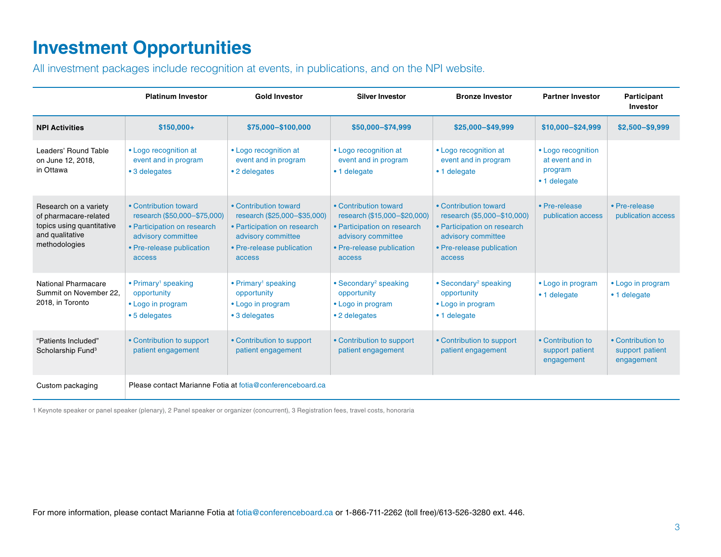### **Investment Opportunities**

All investment packages include recognition at events, in publications, and on the NPI website.

|                                                                                                                 | <b>Platinum Investor</b>                                                                                                                          | <b>Gold Investor</b>                                                                                                                              | <b>Silver Investor</b>                                                                                                                            | <b>Bronze Investor</b>                                                                                                                           | <b>Partner Investor</b>                                          | Participant<br>Investor                            |
|-----------------------------------------------------------------------------------------------------------------|---------------------------------------------------------------------------------------------------------------------------------------------------|---------------------------------------------------------------------------------------------------------------------------------------------------|---------------------------------------------------------------------------------------------------------------------------------------------------|--------------------------------------------------------------------------------------------------------------------------------------------------|------------------------------------------------------------------|----------------------------------------------------|
| <b>NPI Activities</b>                                                                                           | $$150,000+$                                                                                                                                       | \$75,000-\$100,000                                                                                                                                | \$50,000-\$74,999                                                                                                                                 | \$25,000-\$49,999                                                                                                                                | \$10,000-\$24,999                                                | \$2,500-\$9,999                                    |
| Leaders' Round Table<br>on June 12, 2018,<br>in Ottawa                                                          | • Logo recognition at<br>event and in program<br>• 3 delegates                                                                                    | • Logo recognition at<br>event and in program<br>• 2 delegates                                                                                    | • Logo recognition at<br>event and in program<br>• 1 delegate                                                                                     | • Logo recognition at<br>event and in program<br>• 1 delegate                                                                                    | • Logo recognition<br>at event and in<br>program<br>• 1 delegate |                                                    |
| Research on a variety<br>of pharmacare-related<br>topics using quantitative<br>and qualitative<br>methodologies | • Contribution toward<br>research (\$50,000-\$75,000)<br>• Participation on research<br>advisory committee<br>• Pre-release publication<br>access | • Contribution toward<br>research (\$25,000-\$35,000)<br>• Participation on research<br>advisory committee<br>• Pre-release publication<br>access | • Contribution toward<br>research (\$15,000-\$20,000)<br>• Participation on research<br>advisory committee<br>• Pre-release publication<br>access | • Contribution toward<br>research (\$5,000-\$10,000)<br>• Participation on research<br>advisory committee<br>• Pre-release publication<br>access | • Pre-release<br>publication access                              | • Pre-release<br>publication access                |
| National Pharmacare<br>Summit on November 22.<br>2018, in Toronto                                               | • Primary <sup>1</sup> speaking<br>opportunity<br>• Logo in program<br>• 5 delegates                                                              | • Primary <sup>1</sup> speaking<br>opportunity<br>• Logo in program<br>• 3 delegates                                                              | • Secondary <sup>2</sup> speaking<br>opportunity<br>• Logo in program<br>• 2 delegates                                                            | • Secondary <sup>2</sup> speaking<br>opportunity<br>• Logo in program<br>• 1 delegate                                                            | • Logo in program<br>• 1 delegate                                | • Logo in program<br>• 1 delegate                  |
| "Patients Included"<br>Scholarship Fund <sup>3</sup>                                                            | • Contribution to support<br>patient engagement                                                                                                   | • Contribution to support<br>patient engagement                                                                                                   | • Contribution to support<br>patient engagement                                                                                                   | • Contribution to support<br>patient engagement                                                                                                  | • Contribution to<br>support patient<br>engagement               | • Contribution to<br>support patient<br>engagement |
| Custom packaging                                                                                                | Please contact Marianne Fotia at fotia@conferenceboard.ca                                                                                         |                                                                                                                                                   |                                                                                                                                                   |                                                                                                                                                  |                                                                  |                                                    |

1 Keynote speaker or panel speaker (plenary), 2 Panel speaker or organizer (concurrent), 3 Registration fees, travel costs, honoraria

For more information, please contact Marianne Fotia at [fotia@conferenceboard.ca](mailto:fotia%40conferenceboard.ca?subject=) or 1-866-711-2262 (toll free)/613-526-3280 ext. 446.